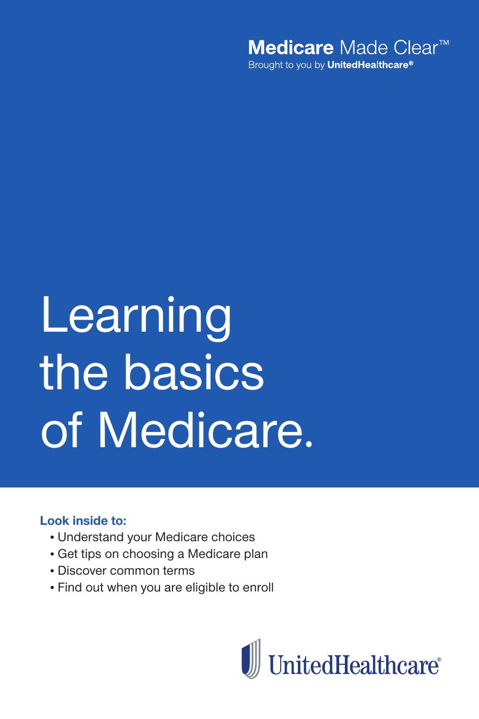

# Learning the basics of Medicare.

#### **Look inside to:**

- Understand your Medicare choices
- Get tips on choosing a Medicare plan
- Discover common terms
- Find out when you are eligible to enroll

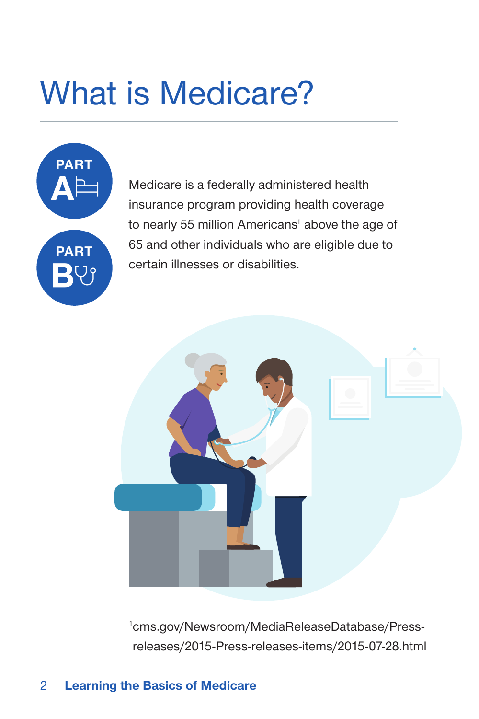# What is Medicare?



Medicare is a federally administered health insurance program providing health coverage to nearly 55 million Americans<sup>1</sup> above the age of 65 and other individuals who are eligible due to certain illnesses or disabilities.



1 cms.gov/Newsroom/MediaReleaseDatabase/Pressreleases/2015-Press-releases-items/2015-07-28.html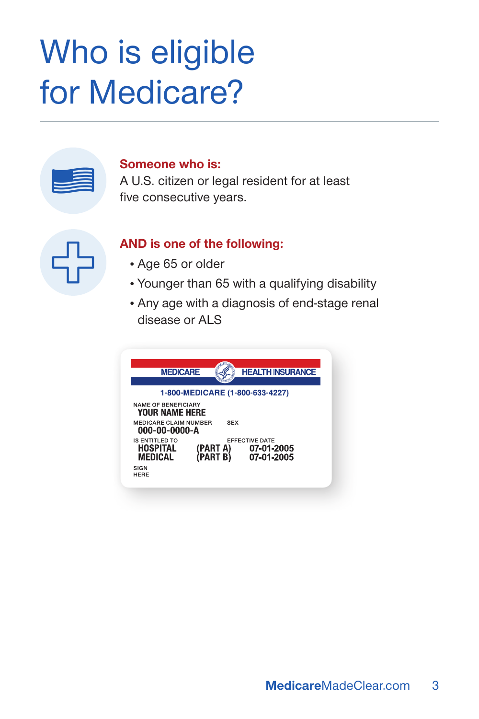# Who is eligible for Medicare?

#### **Someone who is:**

A U.S. citizen or legal resident for at least five consecutive years.

#### **AND is one of the following:**

- Age 65 or older
- Younger than 65 with a qualifying disability
- Any age with a diagnosis of end-stage renal disease or ALS

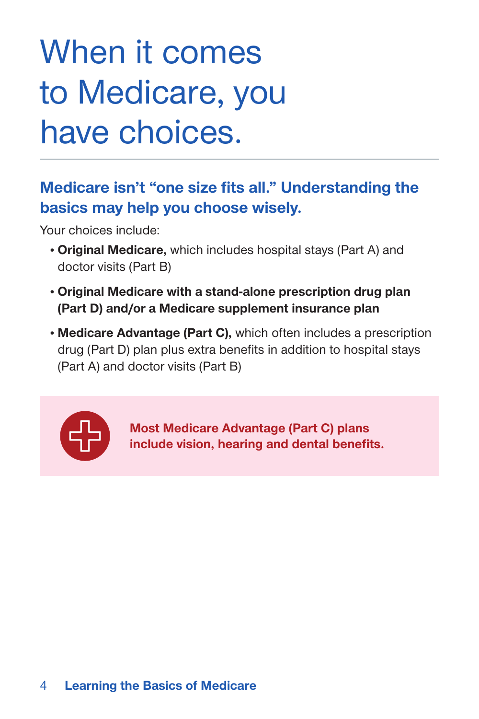# When it comes to Medicare, you have choices.

# **Medicare isn't "one size fits all." Understanding the basics may help you choose wisely.**

Your choices include:

- **Original Medicare,** which includes hospital stays (Part A) and doctor visits (Part B)
- **Original Medicare with a stand-alone prescription drug plan (Part D) and/or a Medicare supplement insurance plan**
- **Medicare Advantage (Part C),** which often includes a prescription drug (Part D) plan plus extra benefits in addition to hospital stays (Part A) and doctor visits (Part B)



**Most Medicare Advantage (Part C) plans include vision, hearing and dental benefits.**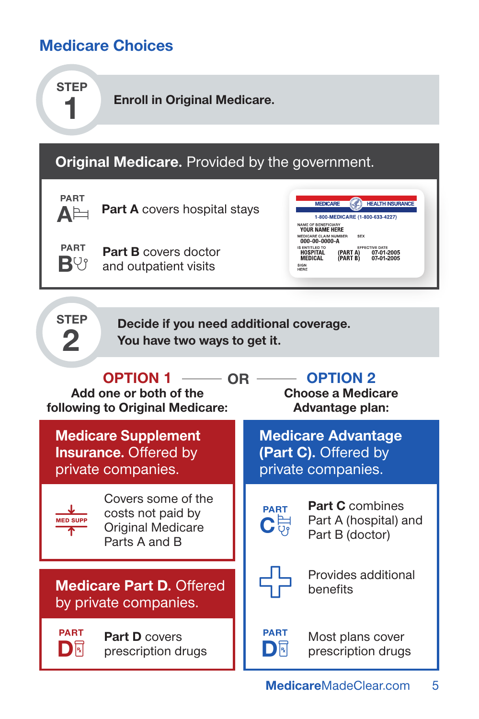# **Medicare Choices**

**step 1**

**Enroll in Original Medicare.**

# **Original Medicare.** Provided by the government.



**Part A** covers hospital stays

**PART B**V

**Part B** covers doctor and outpatient visits

MEDICARE **(C)** HEALTH INSURANCE 1-800-MEDICARE (1-800-633-4227) AME OF BENEFICIARY<br>YOUR NAME HERE SEX MEDICARE CLAIM NUMBER<br>000-00-0000-A EFFECTIVE DATE<br>(PART A) 07-01-2005<br>(PART B) 07-01-2005 IS ENTITLED TO<br>**HOSPITAL** MEDICAL SIGN<br>HERE

**step 2**

**Decide if you need additional coverage. You have two ways to get it.**

### **Option 1 Option 2 OR Add one or both of the following to Original Medicare: Choose a Medicare**

**Medicare Supplement Insurance.** Offered by private companies.



Covers some of the costs not paid by Original Medicare Parts A and B

**Medicare Part D.** Offered by private companies.

**PART Part D** covers  $\mathbf{D}$ r prescription drugs **Advantage plan:**

**Medicare Advantage (Part C).** Offered by private companies.

**PART**  $\mathbf{C}$ 

**Part C** combines Part A (hospital) and Part B (doctor)



Provides additional benefits

**PART D** 

Most plans cover prescription drugs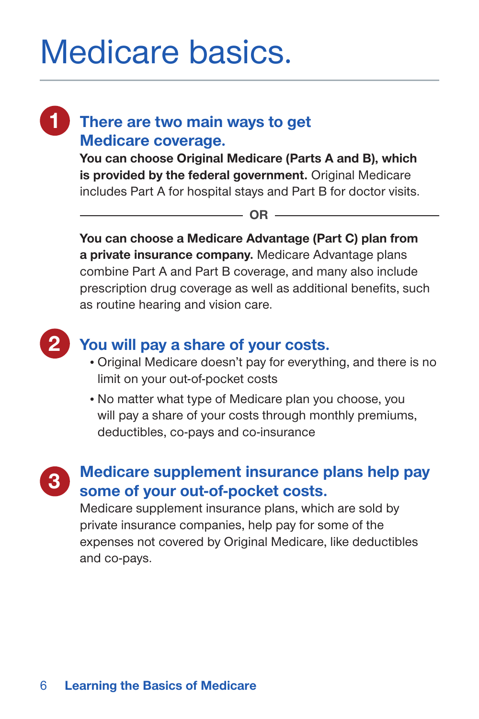# Medicare basics.

# **1 There are two main ways to get Medicare coverage.**

**You can choose Original Medicare (Parts A and B), which is provided by the federal government.** Original Medicare includes Part A for hospital stays and Part B for doctor visits.

 $\Omega$ **R**  $-$ 

**You can choose a Medicare Advantage (Part C) plan from a private insurance company.** Medicare Advantage plans combine Part A and Part B coverage, and many also include prescription drug coverage as well as additional benefits, such as routine hearing and vision care.



# **2 You will pay a share of your costs.**

- Original Medicare doesn't pay for everything, and there is no limit on your out-of-pocket costs
- No matter what type of Medicare plan you choose, you will pay a share of your costs through monthly premiums, deductibles, co-pays and co-insurance



# **3 Medicare supplement insurance plans help pay some of your out-of-pocket costs.**

Medicare supplement insurance plans, which are sold by private insurance companies, help pay for some of the expenses not covered by Original Medicare, like deductibles and co-pays.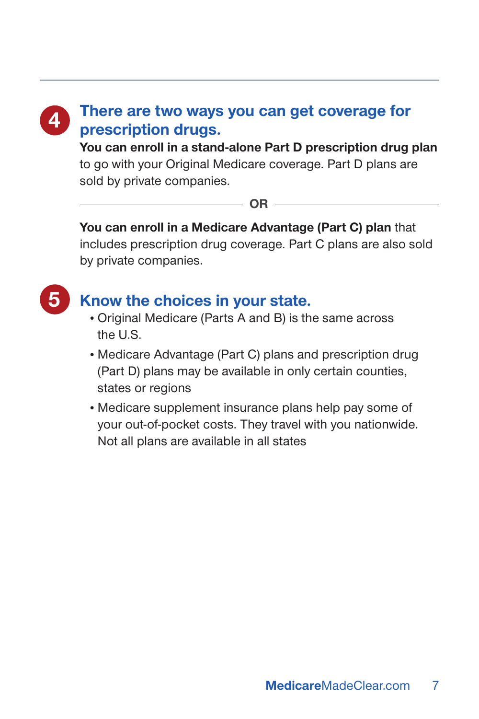# **4 There are two ways you can get coverage for prescription drugs.**

**You can enroll in a stand-alone Part D prescription drug plan**  to go with your Original Medicare coverage. Part D plans are sold by private companies.

 $-$  OR  $-$ 

**You can enroll in a Medicare Advantage (Part C) plan** that includes prescription drug coverage. Part C plans are also sold by private companies.



# **5 Know the choices in your state.**

- Original Medicare (Parts A and B) is the same across the U.S.
- Medicare Advantage (Part C) plans and prescription drug (Part D) plans may be available in only certain counties, states or regions
- Medicare supplement insurance plans help pay some of your out-of-pocket costs. They travel with you nationwide. Not all plans are available in all states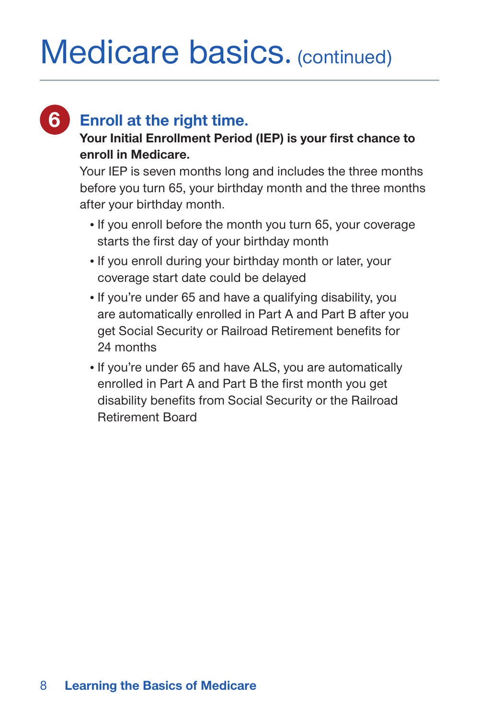# Medicare basics. (continued)

# **6 Enroll at the right time.**

### **Your Initial Enrollment Period (IEP) is your first chance to enroll in Medicare.**

Your IEP is seven months long and includes the three months before you turn 65, your birthday month and the three months after your birthday month.

- If you enroll before the month you turn 65, your coverage starts the first day of your birthday month
- If you enroll during your birthday month or later, your coverage start date could be delayed
- If you're under 65 and have a qualifying disability, you are automatically enrolled in Part A and Part B after you get Social Security or Railroad Retirement benefits for 24 months
- If you're under 65 and have ALS, you are automatically enrolled in Part A and Part B the first month you get disability benefits from Social Security or the Railroad Retirement Board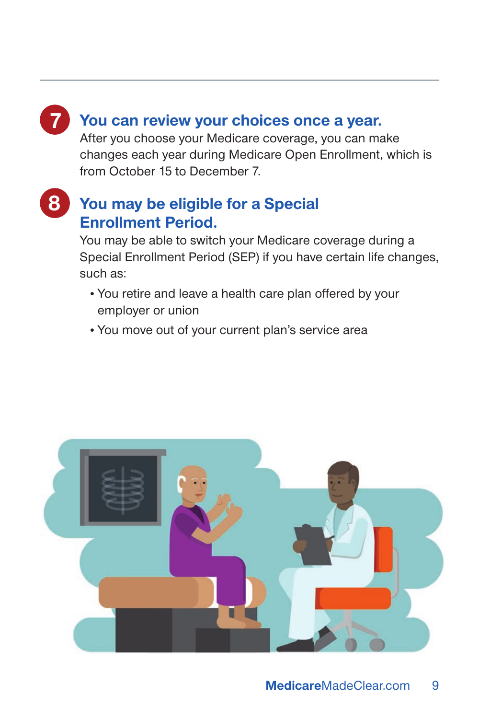### **7 You can review your choices once a year.**

After you choose your Medicare coverage, you can make changes each year during Medicare Open Enrollment, which is from October 15 to December 7.

# **8 You may be eligible for a Special Enrollment Period.**

You may be able to switch your Medicare coverage during a Special Enrollment Period (SEP) if you have certain life changes, such as:

- You retire and leave a health care plan offered by your employer or union
- You move out of your current plan's service area

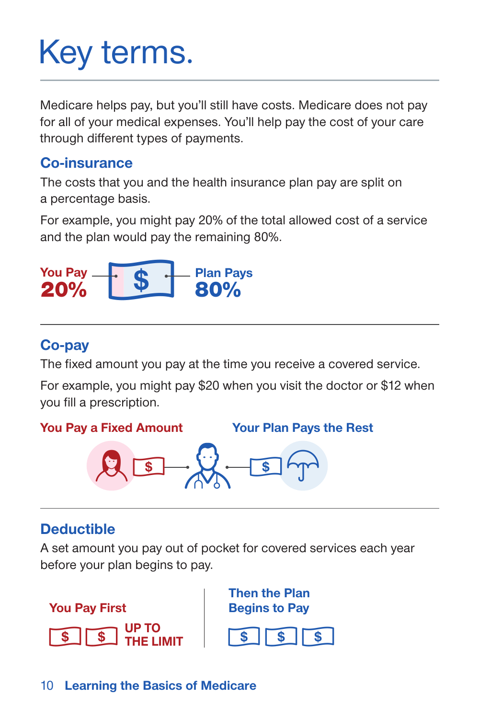# Key terms.

Medicare helps pay, but you'll still have costs. Medicare does not pay for all of your medical expenses. You'll help pay the cost of your care through different types of payments.

### **Co-insurance**

The costs that you and the health insurance plan pay are split on a percentage basis.

For example, you might pay 20% of the total allowed cost of a service and the plan would pay the remaining 80%.



# **Co-pay**

The fixed amount you pay at the time you receive a covered service.

For example, you might pay \$20 when you visit the doctor or \$12 when you fill a prescription.

**You Pay a Fixed Amount Your Plan Pays the Rest**



# **Deductible**

A set amount you pay out of pocket for covered services each year before your plan begins to pay.

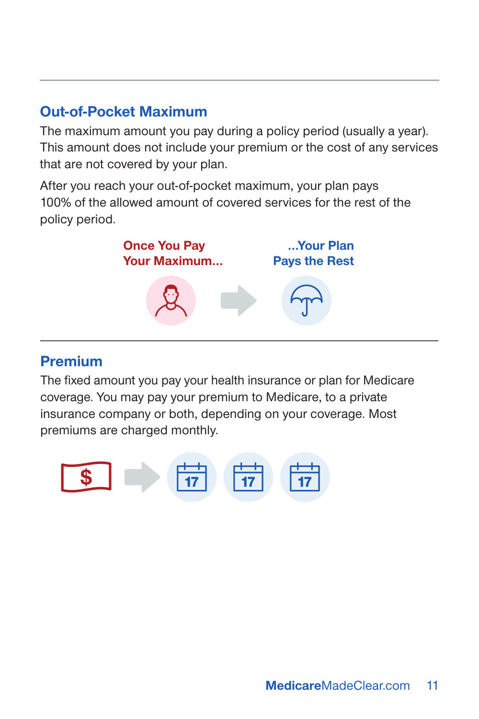# **Out-of-Pocket Maximum**

The maximum amount you pay during a policy period (usually a year). This amount does not include your premium or the cost of any services that are not covered by your plan.

After you reach your out-of-pocket maximum, your plan pays 100% of the allowed amount of covered services for the rest of the policy period.



### **Premium**

The fixed amount you pay your health insurance or plan for Medicare coverage. You may pay your premium to Medicare, to a private insurance company or both, depending on your coverage. Most premiums are charged monthly.

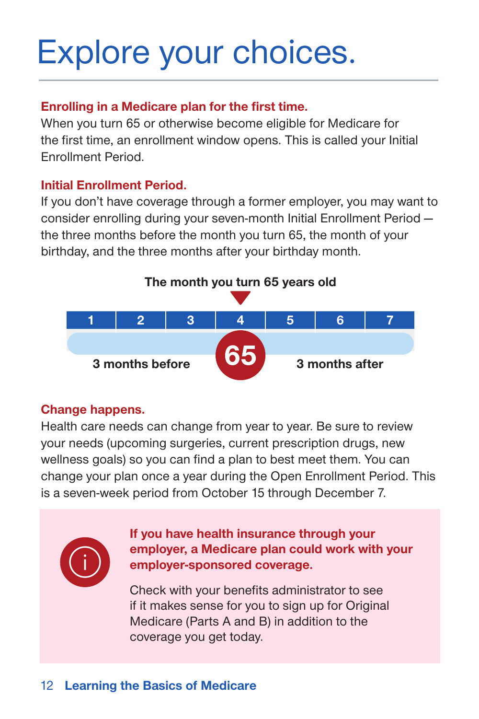# Explore your choices.

### **Enrolling in a Medicare plan for the first time.**

When you turn 65 or otherwise become eligible for Medicare for the first time, an enrollment window opens. This is called your Initial Enrollment Period.

#### **Initial Enrollment Period.**

If you don't have coverage through a former employer, you may want to consider enrolling during your seven-month Initial Enrollment Period the three months before the month you turn 65, the month of your birthday, and the three months after your birthday month.



### **Change happens.**

Health care needs can change from year to year. Be sure to review your needs (upcoming surgeries, current prescription drugs, new wellness goals) so you can find a plan to best meet them. You can change your plan once a year during the Open Enrollment Period. This is a seven-week period from October 15 through December 7.



**If you have health insurance through your employer, a Medicare plan could work with your employer-sponsored coverage.**

Check with your benefits administrator to see if it makes sense for you to sign up for Original Medicare (Parts A and B) in addition to the coverage you get today.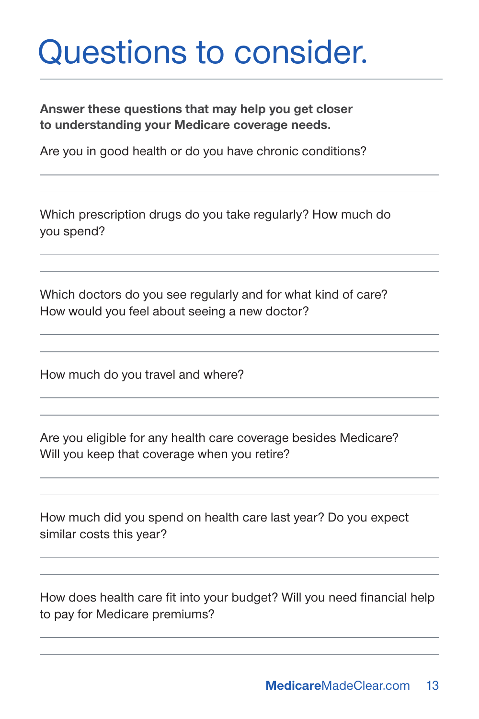# Questions to consider.

**Answer these questions that may help you get closer to understanding your Medicare coverage needs.**

Are you in good health or do you have chronic conditions?

Which prescription drugs do you take regularly? How much do you spend?

Which doctors do you see regularly and for what kind of care? How would you feel about seeing a new doctor?

How much do you travel and where?

Are you eligible for any health care coverage besides Medicare? Will you keep that coverage when you retire?

How much did you spend on health care last year? Do you expect similar costs this year?

How does health care fit into your budget? Will you need financial help to pay for Medicare premiums?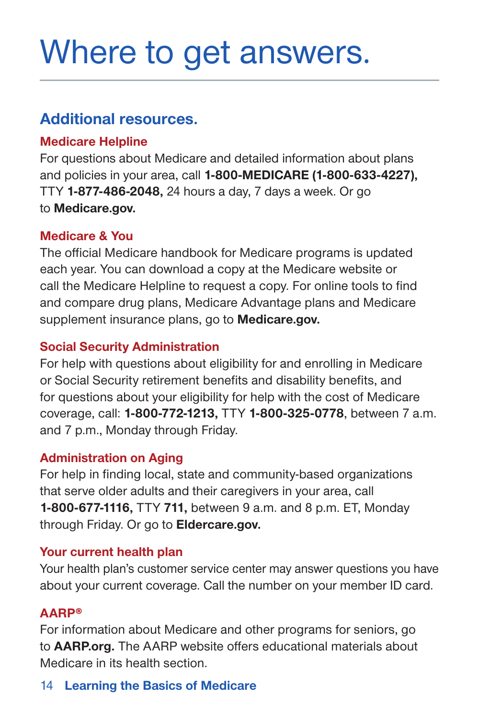# Where to get answers.

## **Additional resources.**

#### **Medicare Helpline**

For questions about Medicare and detailed information about plans and policies in your area, call **1-800-MEDICARE (1-800-633-4227),** TTY **1-877-486-2048,** 24 hours a day, 7 days a week. Or go to **Medicare.gov.**

#### **Medicare & You**

The official Medicare handbook for Medicare programs is updated each year. You can download a copy at the Medicare website or call the Medicare Helpline to request a copy. For online tools to find and compare drug plans, Medicare Advantage plans and Medicare supplement insurance plans, go to **Medicare.gov.**

#### **Social Security Administration**

For help with questions about eligibility for and enrolling in Medicare or Social Security retirement benefits and disability benefits, and for questions about your eligibility for help with the cost of Medicare coverage, call: **1-800-772-1213,** TTY **1-800-325-0778**, between 7 a.m. and 7 p.m., Monday through Friday.

### **Administration on Aging**

For help in finding local, state and community-based organizations that serve older adults and their caregivers in your area, call **1-800-677-1116,** TTY **711,** between 9 a.m. and 8 p.m. ET, Monday through Friday. Or go to **Eldercare.gov.**

#### **Your current health plan**

Your health plan's customer service center may answer questions you have about your current coverage. Call the number on your member ID card.

### **AARP®**

For information about Medicare and other programs for seniors, go to **AARP.org.** The AARP website offers educational materials about Medicare in its health section.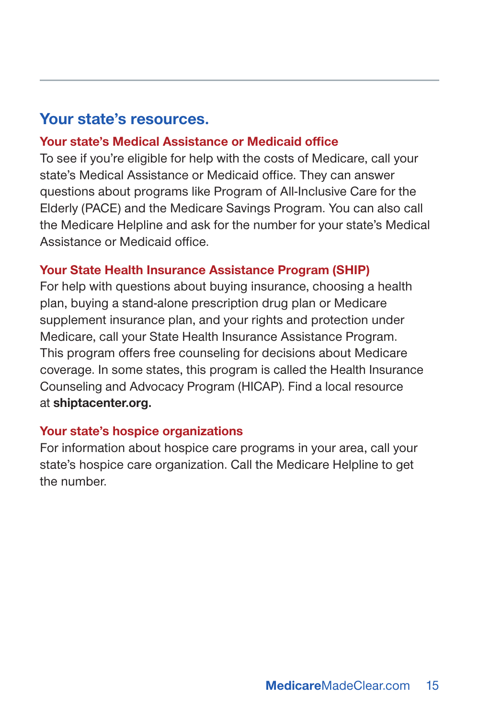## **Your state's resources.**

#### **Your state's Medical Assistance or Medicaid office**

To see if you're eligible for help with the costs of Medicare, call your state's Medical Assistance or Medicaid office. They can answer questions about programs like Program of All-Inclusive Care for the Elderly (PACE) and the Medicare Savings Program. You can also call the Medicare Helpline and ask for the number for your state's Medical Assistance or Medicaid office.

#### **Your State Health Insurance Assistance Program (SHIP)**

For help with questions about buying insurance, choosing a health plan, buying a stand-alone prescription drug plan or Medicare supplement insurance plan, and your rights and protection under Medicare, call your State Health Insurance Assistance Program. This program offers free counseling for decisions about Medicare coverage. In some states, this program is called the Health Insurance Counseling and Advocacy Program (HICAP). Find a local resource at **shiptacenter.org.**

#### **Your state's hospice organizations**

For information about hospice care programs in your area, call your state's hospice care organization. Call the Medicare Helpline to get the number.